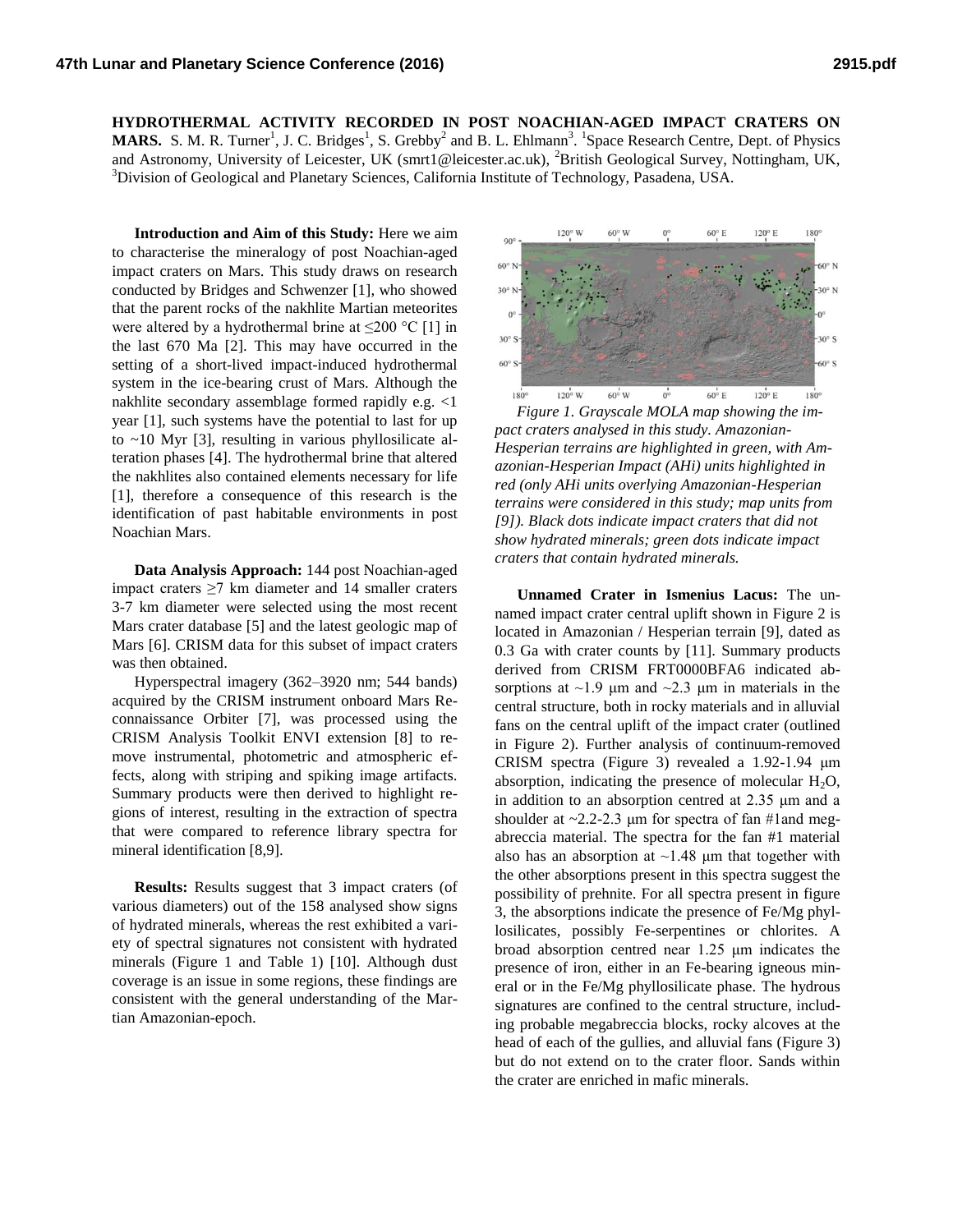**HYDROTHERMAL ACTIVITY RECORDED IN POST NOACHIAN-AGED IMPACT CRATERS ON MARS.** S. M. R. Turner<sup>1</sup>, J. C. Bridges<sup>1</sup>, S. Grebby<sup>2</sup> and B. L. Ehlmann<sup>3</sup>. <sup>1</sup>Space Research Centre, Dept. of Physics and Astronomy, University of Leicester, UK (smrt1@leicester.ac.uk), <sup>2</sup>British Geological Survey, Nottingham, UK, <sup>3</sup>Division of Geological and Planetary Sciences, California Institute of Technology, Pasadena, USA.

**Introduction and Aim of this Study:** Here we aim to characterise the mineralogy of post Noachian-aged impact craters on Mars. This study draws on research conducted by Bridges and Schwenzer [1], who showed that the parent rocks of the nakhlite Martian meteorites were altered by a hydrothermal brine at  $\leq$ 200 °C [1] in the last 670 Ma [2]. This may have occurred in the setting of a short-lived impact-induced hydrothermal system in the ice-bearing crust of Mars. Although the nakhlite secondary assemblage formed rapidly e.g. <1 year [1], such systems have the potential to last for up to ~10 Myr [3], resulting in various phyllosilicate alteration phases [4]. The hydrothermal brine that altered the nakhlites also contained elements necessary for life [1], therefore a consequence of this research is the identification of past habitable environments in post Noachian Mars.

**Data Analysis Approach:** 144 post Noachian-aged impact craters ≥7 km diameter and 14 smaller craters 3-7 km diameter were selected using the most recent Mars crater database [5] and the latest geologic map of Mars [6]. CRISM data for this subset of impact craters was then obtained.

Hyperspectral imagery (362–3920 nm; 544 bands) acquired by the CRISM instrument onboard Mars Reconnaissance Orbiter [7], was processed using the CRISM Analysis Toolkit ENVI extension [8] to remove instrumental, photometric and atmospheric effects, along with striping and spiking image artifacts. Summary products were then derived to highlight regions of interest, resulting in the extraction of spectra that were compared to reference library spectra for mineral identification [8,9].

**Results:** Results suggest that 3 impact craters (of various diameters) out of the 158 analysed show signs of hydrated minerals, whereas the rest exhibited a variety of spectral signatures not consistent with hydrated minerals (Figure 1 and Table 1) [10]. Although dust coverage is an issue in some regions, these findings are consistent with the general understanding of the Martian Amazonian-epoch.



*Figure 1. Grayscale MOLA map showing the impact craters analysed in this study. Amazonian-Hesperian terrains are highlighted in green, with Amazonian-Hesperian Impact (AHi) units highlighted in red (only AHi units overlying Amazonian-Hesperian terrains were considered in this study; map units from [9]). Black dots indicate impact craters that did not show hydrated minerals; green dots indicate impact craters that contain hydrated minerals.*

**Unnamed Crater in Ismenius Lacus:** The unnamed impact crater central uplift shown in Figure 2 is located in Amazonian / Hesperian terrain [9], dated as 0.3 Ga with crater counts by [11]. Summary products derived from CRISM FRT0000BFA6 indicated absorptions at  $\sim$ 1.9 μm and  $\sim$ 2.3 μm in materials in the central structure, both in rocky materials and in alluvial fans on the central uplift of the impact crater (outlined in Figure 2). Further analysis of continuum-removed CRISM spectra (Figure 3) revealed a 1.92-1.94 μm absorption, indicating the presence of molecular  $H_2O$ , in addition to an absorption centred at 2.35 μm and a shoulder at  $\sim$ 2.2-2.3 µm for spectra of fan #1and megabreccia material. The spectra for the fan #1 material also has an absorption at  $\sim$ 1.48 μm that together with the other absorptions present in this spectra suggest the possibility of prehnite. For all spectra present in figure 3, the absorptions indicate the presence of Fe/Mg phyllosilicates, possibly Fe-serpentines or chlorites. A broad absorption centred near 1.25 μm indicates the presence of iron, either in an Fe-bearing igneous mineral or in the Fe/Mg phyllosilicate phase. The hydrous signatures are confined to the central structure, including probable megabreccia blocks, rocky alcoves at the head of each of the gullies, and alluvial fans (Figure 3) but do not extend on to the crater floor. Sands within the crater are enriched in mafic minerals.